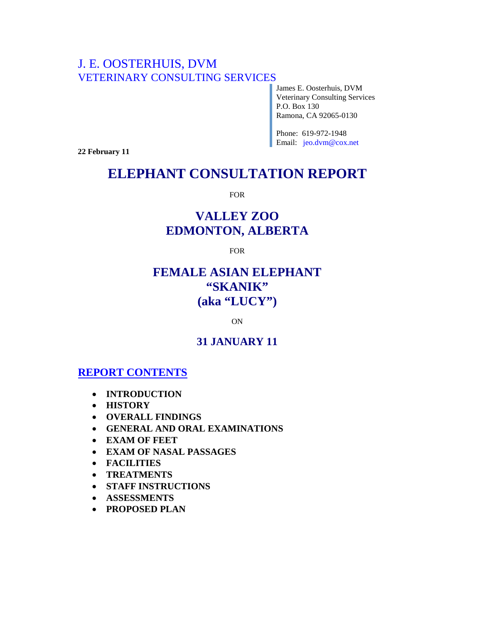## J. E. OOSTERHUIS, DVM VETERINARY CONSULTING SERVICES

James E. Oosterhuis, DVM Veterinary Consulting Services P.O. Box 130 Ramona, CA 92065-0130

Phone: 619-972-1948 Email: jeo.dvm@cox.net

**22 February 11**

# **ELEPHANT CONSULTATION REPORT**

FOR

# **VALLEY ZOO EDMONTON, ALBERTA**

FOR

## **FEMALE ASIAN ELEPHANT "SKANIK" (aka "LUCY")**

ON

## **31 JANUARY 11**

**REPORT CONTENTS**

- **INTRODUCTION**
- **HISTORY**
- **OVERALL FINDINGS**
- **GENERAL AND ORAL EXAMINATIONS**
- **EXAM OF FEET**
- **EXAM OF NASAL PASSAGES**
- **FACILITIES**
- **TREATMENTS**
- **STAFF INSTRUCTIONS**
- **ASSESSMENTS**
- **PROPOSED PLAN**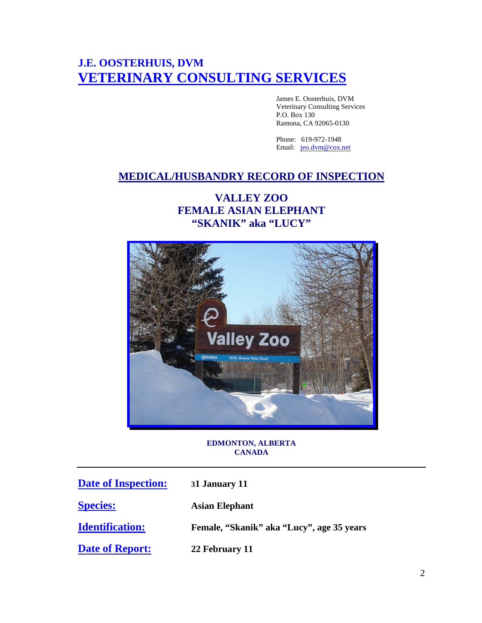# **J.E. OOSTERHUIS, DVM VETERINARY CONSULTING SERVICES**

James E. Oosterhuis, DVM Veterinary Consulting Services P.O. Box 130 Ramona, CA 92065-0130

Phone: 619-972-1948 Email: [jeo.dvm@cox.net](mailto:jeo.dvm@cox.net)

## **MEDICAL/HUSBANDRY RECORD OF INSPECTION**

## **VALLEY ZOO FEMALE ASIAN ELEPHANT "SKANIK" aka "LUCY"**



## **EDMONTON, ALBERTA CANADA**

| <b>Date of Inspection:</b> | 31 January 11                             |
|----------------------------|-------------------------------------------|
| <b>Species:</b>            | <b>Asian Elephant</b>                     |
| <b>Identification:</b>     | Female, "Skanik" aka "Lucy", age 35 years |
| <b>Date of Report:</b>     | 22 February 11                            |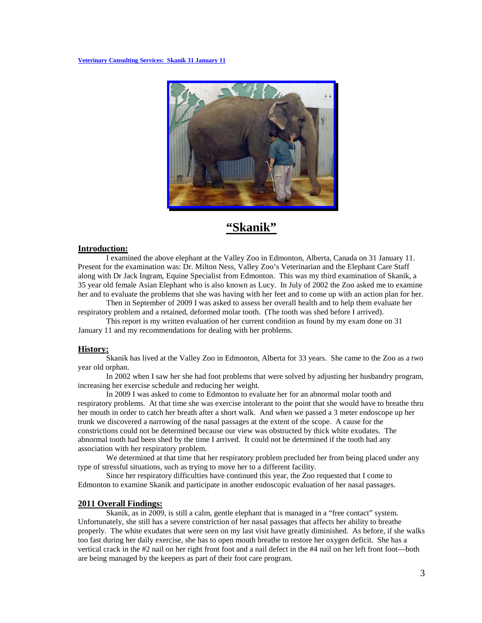

## **"Skanik"**

#### **Introduction:**

I examined the above elephant at the Valley Zoo in Edmonton, Alberta, Canada on 31 January 11. Present for the examination was: Dr. Milton Ness, Valley Zoo's Veterinarian and the Elephant Care Staff along with Dr Jack Ingram, Equine Specialist from Edmonton. This was my third examination of Skanik, a 35 year old female Asian Elephant who is also known as Lucy. In July of 2002 the Zoo asked me to examine her and to evaluate the problems that she was having with her feet and to come up with an action plan for her.

Then in September of 2009 I was asked to assess her overall health and to help them evaluate her respiratory problem and a retained, deformed molar tooth. (The tooth was shed before I arrived).

This report is my written evaluation of her current condition as found by my exam done on 31 January 11 and my recommendations for dealing with her problems.

## **History:**

Skanik has lived at the Valley Zoo in Edmonton, Alberta for 33 years. She came to the Zoo as a two year old orphan.

In 2002 when I saw her she had foot problems that were solved by adjusting her husbandry program, increasing her exercise schedule and reducing her weight.

In 2009 I was asked to come to Edmonton to evaluate her for an abnormal molar tooth and respiratory problems. At that time she was exercise intolerant to the point that she would have to breathe thru her mouth in order to catch her breath after a short walk. And when we passed a 3 meter endoscope up her trunk we discovered a narrowing of the nasal passages at the extent of the scope. A cause for the constrictions could not be determined because our view was obstructed by thick white exudates. The abnormal tooth had been shed by the time I arrived. It could not be determined if the tooth had any association with her respiratory problem.

We determined at that time that her respiratory problem precluded her from being placed under any type of stressful situations, such as trying to move her to a different facility.

Since her respiratory difficulties have continued this year, the Zoo requested that I come to Edmonton to examine Skanik and participate in another endoscopic evaluation of her nasal passages.

## **2011 Overall Findings:**

Skanik, as in 2009, is still a calm, gentle elephant that is managed in a "free contact" system. Unfortunately, she still has a severe constriction of her nasal passages that affects her ability to breathe properly. The white exudates that were seen on my last visit have greatly diminished. As before, if she walks too fast during her daily exercise, she has to open mouth breathe to restore her oxygen deficit. She has a vertical crack in the #2 nail on her right front foot and a nail defect in the #4 nail on her left front foot—both are being managed by the keepers as part of their foot care program.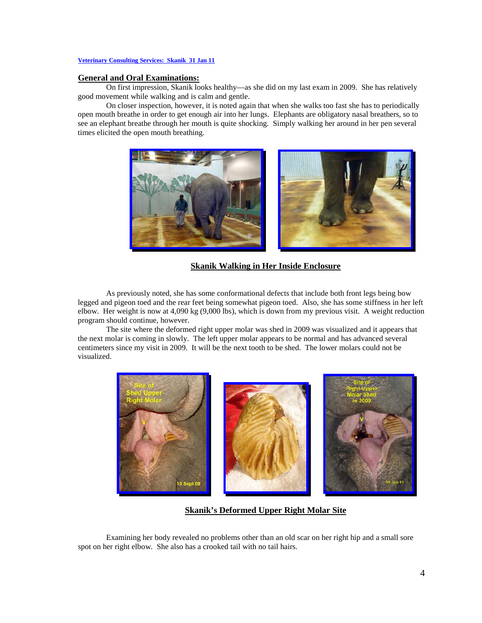## **General and Oral Examinations:**

On first impression, Skanik looks healthy—as she did on my last exam in 2009. She has relatively good movement while walking and is calm and gentle.

On closer inspection, however, it is noted again that when she walks too fast she has to periodically open mouth breathe in order to get enough air into her lungs. Elephants are obligatory nasal breathers, so to see an elephant breathe through her mouth is quite shocking. Simply walking her around in her pen several times elicited the open mouth breathing.



**Skanik Walking in Her Inside Enclosure**

As previously noted, she has some conformational defects that include both front legs being bow legged and pigeon toed and the rear feet being somewhat pigeon toed. Also, she has some stiffness in her left elbow. Her weight is now at 4,090 kg (9,000 lbs), which is down from my previous visit. A weight reduction program should continue, however.

The site where the deformed right upper molar was shed in 2009 was visualized and it appears that the next molar is coming in slowly. The left upper molar appears to be normal and has advanced several centimeters since my visit in 2009. It will be the next tooth to be shed. The lower molars could not be visualized.



## **Skanik's Deformed Upper Right Molar Site**

Examining her body revealed no problems other than an old scar on her right hip and a small sore spot on her right elbow. She also has a crooked tail with no tail hairs.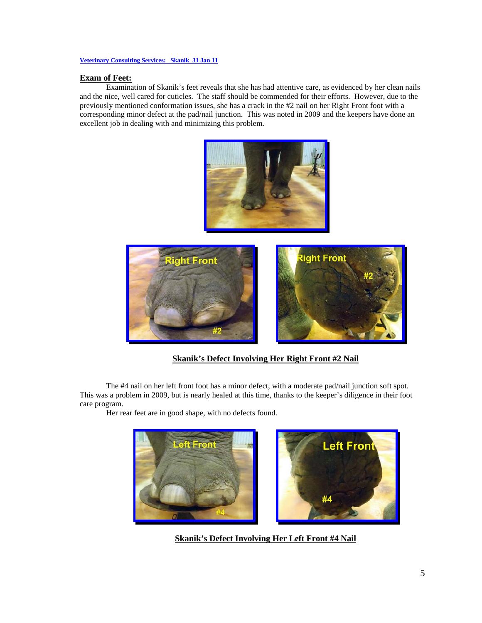## **Exam of Feet:**

Examination of Skanik's feet reveals that she has had attentive care, as evidenced by her clean nails and the nice, well cared for cuticles. The staff should be commended for their efforts. However, due to the previously mentioned conformation issues, she has a crack in the #2 nail on her Right Front foot with a corresponding minor defect at the pad/nail junction. This was noted in 2009 and the keepers have done an excellent job in dealing with and minimizing this problem.





## **Skanik's Defect Involving Her Right Front #2 Nail**

The #4 nail on her left front foot has a minor defect, with a moderate pad/nail junction soft spot. This was a problem in 2009, but is nearly healed at this time, thanks to the keeper's diligence in their foot care program.

Her rear feet are in good shape, with no defects found.



**Skanik's Defect Involving Her Left Front #4 Nail**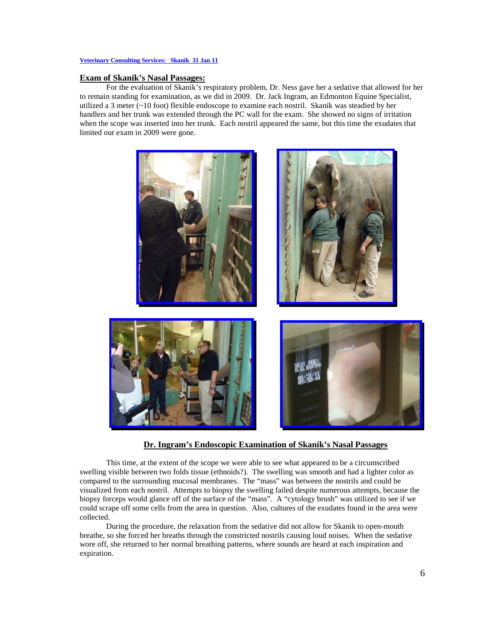## **Exam of Skanik's Nasal Passages:**

For the evaluation of Skanik's respiratory problem, Dr. Ness gave her a sedative that allowed for her to remain standing for examination, as we did in 2009. Dr. Jack Ingram, an Edmonton Equine Specialist, utilized a 3 meter (~10 foot) flexible endoscope to examine each nostril. Skanik was steadied by her handlers and her trunk was extended through the PC wall for the exam. She showed no signs of irritation when the scope was inserted into her trunk. Each nostril appeared the same, but this time the exudates that limited our exam in 2009 were gone.



### **Dr. Ingram's Endoscopic Examination of Skanik's Nasal Passages**

This time, at the extent of the scope we were able to see what appeared to be a circumscribed swelling visible between two folds tissue (ethnoids?). The swelling was smooth and had a lighter color as compared to the surrounding mucosal membranes. The "mass" was between the nostrils and could be visualized from each nostril. Attempts to biopsy the swelling failed despite numerous attempts, because the biopsy forceps would glance off of the surface of the "mass". A "cytology brush" was utilized to see if we could scrape off some cells from the area in question. Also, cultures of the exudates found in the area were collected.

During the procedure, the relaxation from the sedative did not allow for Skanik to open-mouth breathe, so she forced her breaths through the constricted nostrils causing loud noises. When the sedative wore off, she returned to her normal breathing patterns, where sounds are heard at each inspiration and expiration.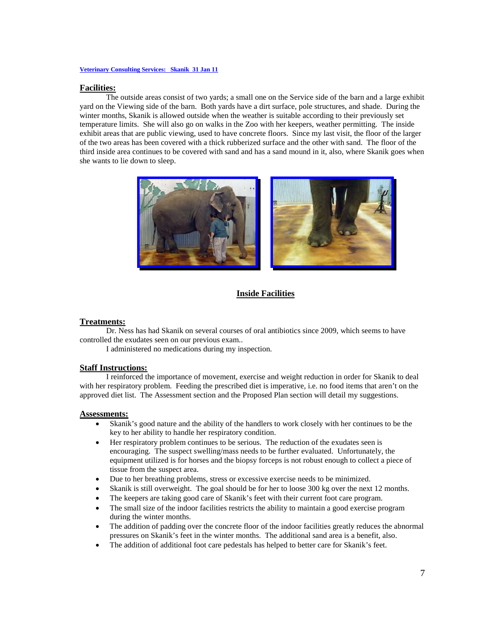#### **Facilities:**

The outside areas consist of two yards; a small one on the Service side of the barn and a large exhibit yard on the Viewing side of the barn. Both yards have a dirt surface, pole structures, and shade. During the winter months, Skanik is allowed outside when the weather is suitable according to their previously set temperature limits. She will also go on walks in the Zoo with her keepers, weather permitting. The inside exhibit areas that are public viewing, used to have concrete floors. Since my last visit, the floor of the larger of the two areas has been covered with a thick rubberized surface and the other with sand. The floor of the third inside area continues to be covered with sand and has a sand mound in it, also, where Skanik goes when she wants to lie down to sleep.



## **Inside Facilities**

#### **Treatments:**

Dr. Ness has had Skanik on several courses of oral antibiotics since 2009, which seems to have controlled the exudates seen on our previous exam..

I administered no medications during my inspection.

## **Staff Instructions:**

I reinforced the importance of movement, exercise and weight reduction in order for Skanik to deal with her respiratory problem. Feeding the prescribed diet is imperative, i.e. no food items that aren't on the approved diet list. The Assessment section and the Proposed Plan section will detail my suggestions.

#### **Assessments:**

- Skanik's good nature and the ability of the handlers to work closely with her continues to be the key to her ability to handle her respiratory condition.
- Her respiratory problem continues to be serious. The reduction of the exudates seen is encouraging. The suspect swelling/mass needs to be further evaluated. Unfortunately, the equipment utilized is for horses and the biopsy forceps is not robust enough to collect a piece of tissue from the suspect area.
- Due to her breathing problems, stress or excessive exercise needs to be minimized.
- Skanik is still overweight. The goal should be for her to loose 300 kg over the next 12 months.
- The keepers are taking good care of Skanik's feet with their current foot care program.
- The small size of the indoor facilities restricts the ability to maintain a good exercise program during the winter months.
- The addition of padding over the concrete floor of the indoor facilities greatly reduces the abnormal pressures on Skanik's feet in the winter months. The additional sand area is a benefit, also.
- The addition of additional foot care pedestals has helped to better care for Skanik's feet.